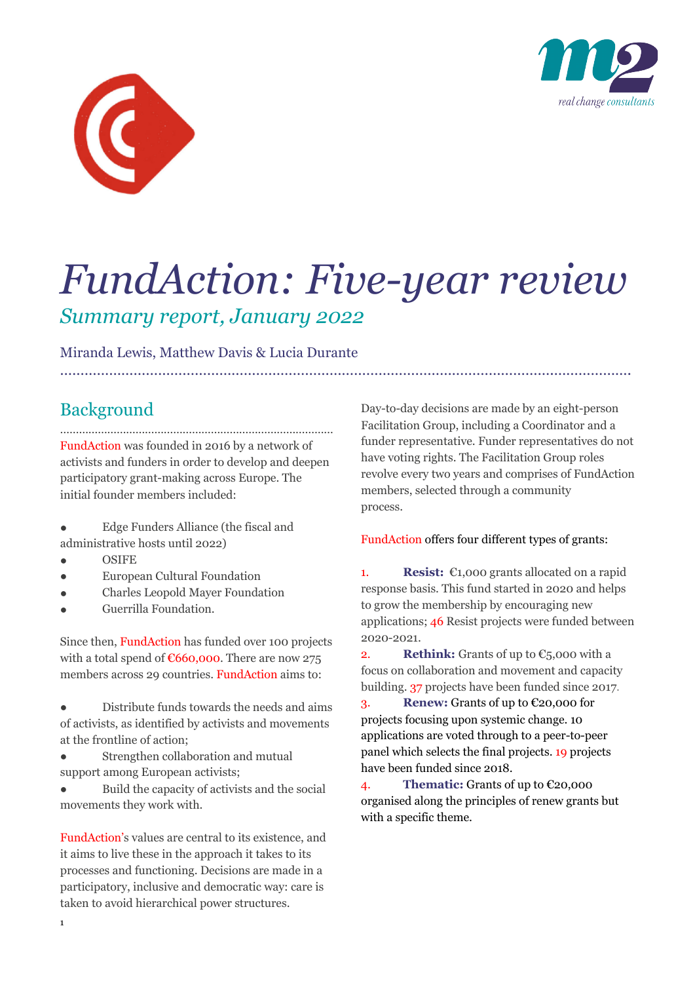



# *FundAction: Five-year review Summary report, January 2022*

*………………………………………………………………………………………………………….……………….*

Miranda Lewis, Matthew Davis & Lucia Durante

# Background

…………………………………………………………………………… FundAction was founded in 2016 by a network of activists and funders in order to develop and deepen participatory grant-making across Europe. The initial founder members included:

- Edge Funders Alliance (the fiscal and administrative hosts until 2022)
- **OSIFE**
- **European Cultural Foundation**
- Charles Leopold Mayer Foundation
- Guerrilla Foundation.

Since then, FundAction has funded over 100 projects with a total spend of  $€660,000$ . There are now 275 members across 29 countries. FundAction aims to:

Distribute funds towards the needs and aims of activists, as identified by activists and movements at the frontline of action;

• Strengthen collaboration and mutual support among European activists;

● Build the capacity of activists and the social movements they work with.

FundAction's values are central to its existence, and it aims to live these in the approach it takes to its processes and functioning. Decisions are made in a participatory, inclusive and democratic way: care is taken to avoid hierarchical power structures.

Day-to-day decisions are made by an eight-person Facilitation Group, including a Coordinator and a funder representative. Funder representatives do not have voting rights. The Facilitation Group roles revolve every two years and comprises of FundAction members, selected through a community process.

# FundAction offers four different types of grants:

1. **Resist:** €1,000 grants allocated on a rapid response basis. This fund started in 2020 and helps to grow the membership by encouraging new applications; 46 Resist projects were funded between 2020-2021.

**2. Rethink:** Grants of up to  $\epsilon$ <sub>5</sub>,000 with a focus on collaboration and movement and capacity building. 37 projects have been funded since 2017.

3. **Renew:** Grants of up to €20,000 for projects focusing upon systemic change. 10 applications are voted through to a peer-to-peer panel which selects the final projects. 19 projects have been funded since 2018.

4. **Thematic:** Grants of up to €20,000 organised along the principles of renew grants but with a specific theme.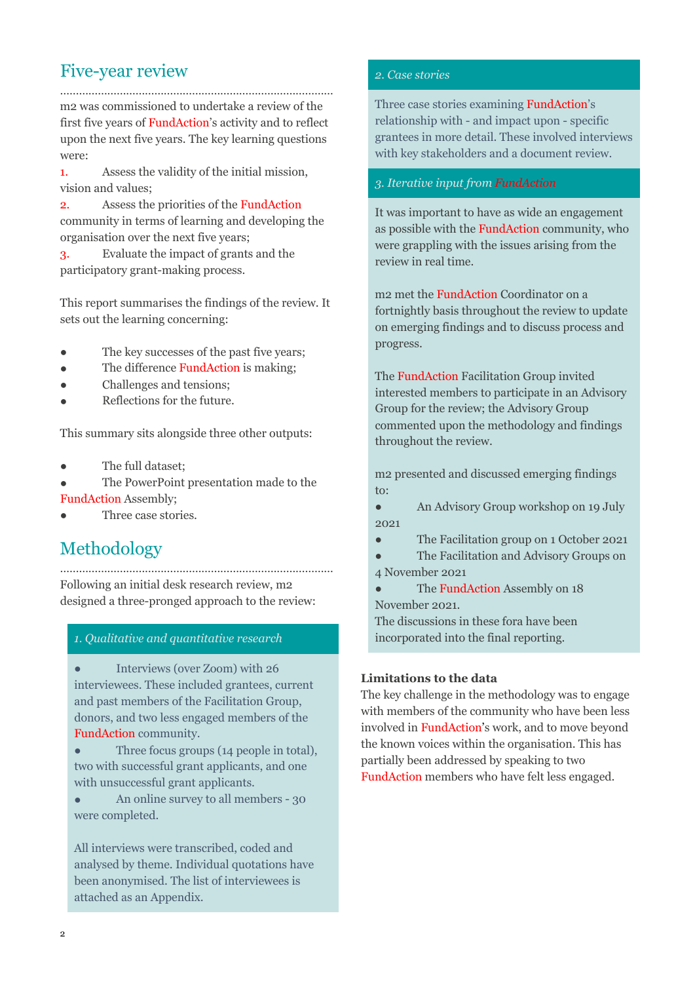# Five-year review

…………………………………………………………………………… m2 was commissioned to undertake a review of the first five years of FundAction's activity and to reflect upon the next five years. The key learning questions were:

1. Assess the validity of the initial mission, vision and values;

2. Assess the priorities of the FundAction community in terms of learning and developing the organisation over the next five years;

3. Evaluate the impact of grants and the participatory grant-making process.

This report summarises the findings of the review. It sets out the learning concerning:

- The key successes of the past five years;
- The difference **FundAction** is making;
- Challenges and tensions;
- Reflections for the future.

This summary sits alongside three other outputs:

- The full dataset;
- The PowerPoint presentation made to the FundAction Assembly;
- Three case stories.

# Methodology

…………………………………………………………………………… Following an initial desk research review, m2 designed a three-pronged approach to the review:

# *1. Qualitative and quantitative research*

• Interviews (over Zoom) with 26 interviewees. These included grantees, current and past members of the Facilitation Group, donors, and two less engaged members of the FundAction community.

• Three focus groups (14 people in total), two with successful grant applicants, and one with unsuccessful grant applicants.

• An online survey to all members - 30 were completed.

All interviews were transcribed, coded and analysed by theme. Individual quotations have been anonymised. The list of interviewees is attached as an Appendix.

#### *2. Case stories*

Three case stories examining FundAction's relationship with - and impact upon - specific grantees in more detail. These involved interviews with key stakeholders and a document review.

#### *3. Iterative input from FundAction*

It was important to have as wide an engagement as possible with the FundAction community, who were grappling with the issues arising from the review in real time.

m2 met the FundAction Coordinator on a fortnightly basis throughout the review to update on emerging findings and to discuss process and progress.

The FundAction Facilitation Group invited interested members to participate in an Advisory Group for the review; the Advisory Group commented upon the methodology and findings throughout the review.

m2 presented and discussed emerging findings to:

• An Advisory Group workshop on 19 July 2021

• The Facilitation group on 1 October 2021

The Facilitation and Advisory Groups on 4 November 2021

• The FundAction Assembly on 18 November 2021.

The discussions in these fora have been incorporated into the final reporting.

# **Limitations to the data**

The key challenge in the methodology was to engage with members of the community who have been less involved in FundAction's work, and to move beyond the known voices within the organisation. This has partially been addressed by speaking to two FundAction members who have felt less engaged.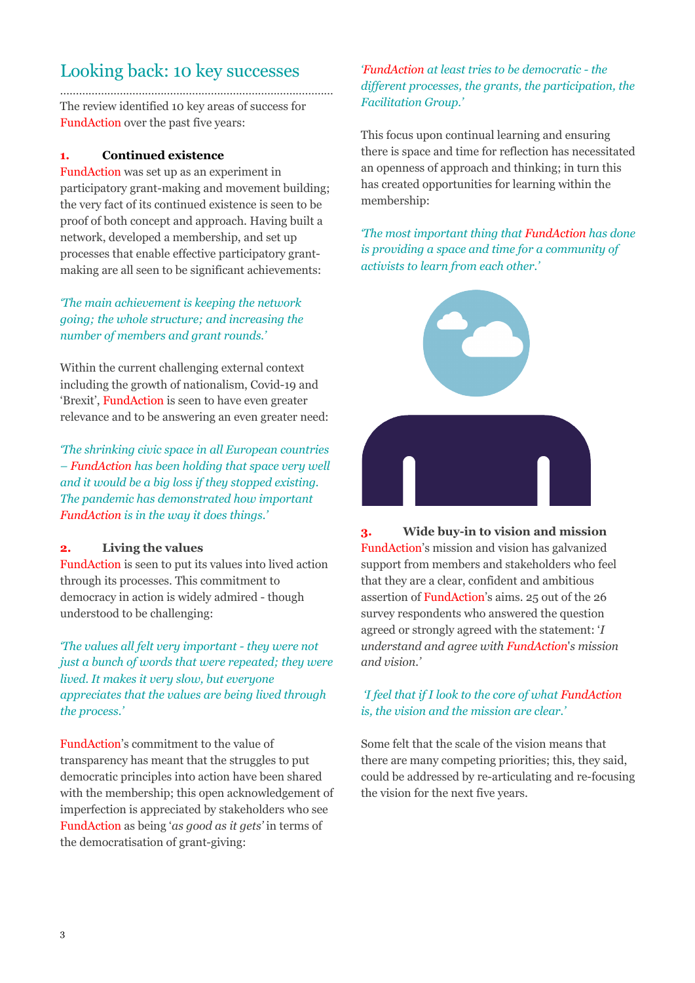# Looking back: 10 key successes

…………………………………………………………………………… The review identified 10 key areas of success for FundAction over the past five years:

# **1. Continued existence**

FundAction was set up as an experiment in participatory grant-making and movement building; the very fact of its continued existence is seen to be proof of both concept and approach. Having built a network, developed a membership, and set up processes that enable effective participatory grantmaking are all seen to be significant achievements:

*'The main achievement is keeping the network going; the whole structure; and increasing the number of members and grant rounds.'* 

Within the current challenging external context including the growth of nationalism, Covid-19 and 'Brexit', FundAction is seen to have even greater relevance and to be answering an even greater need:

*'The shrinking civic space in all European countries – FundAction has been holding that space very well and it would be a big loss if they stopped existing. The pandemic has demonstrated how important FundAction is in the way it does things.'* 

# **2. Living the values**

FundAction is seen to put its values into lived action through its processes. This commitment to democracy in action is widely admired - though understood to be challenging:

*'The values all felt very important - they were not just a bunch of words that were repeated; they were lived. It makes it very slow, but everyone appreciates that the values are being lived through the process.'*

FundAction's commitment to the value of transparency has meant that the struggles to put democratic principles into action have been shared with the membership; this open acknowledgement of imperfection is appreciated by stakeholders who see FundAction as being '*as good as it gets'* in terms of the democratisation of grant-giving:

# *'FundAction at least tries to be democratic - the different processes, the grants, the participation, the Facilitation Group.'*

This focus upon continual learning and ensuring there is space and time for reflection has necessitated an openness of approach and thinking; in turn this has created opportunities for learning within the membership:

*'The most important thing that FundAction has done is providing a space and time for a community of activists to learn from each other.'* 



**3. Wide buy-in to vision and mission** FundAction's mission and vision has galvanized support from members and stakeholders who feel that they are a clear, confident and ambitious assertion of FundAction's aims. 25 out of the 26 survey respondents who answered the question agreed or strongly agreed with the statement: '*I understand and agree with FundAction*'*s mission and vision.'*

# *'I feel that if I look to the core of what FundAction is, the vision and the mission are clear.'*

Some felt that the scale of the vision means that there are many competing priorities; this, they said, could be addressed by re-articulating and re-focusing the vision for the next five years.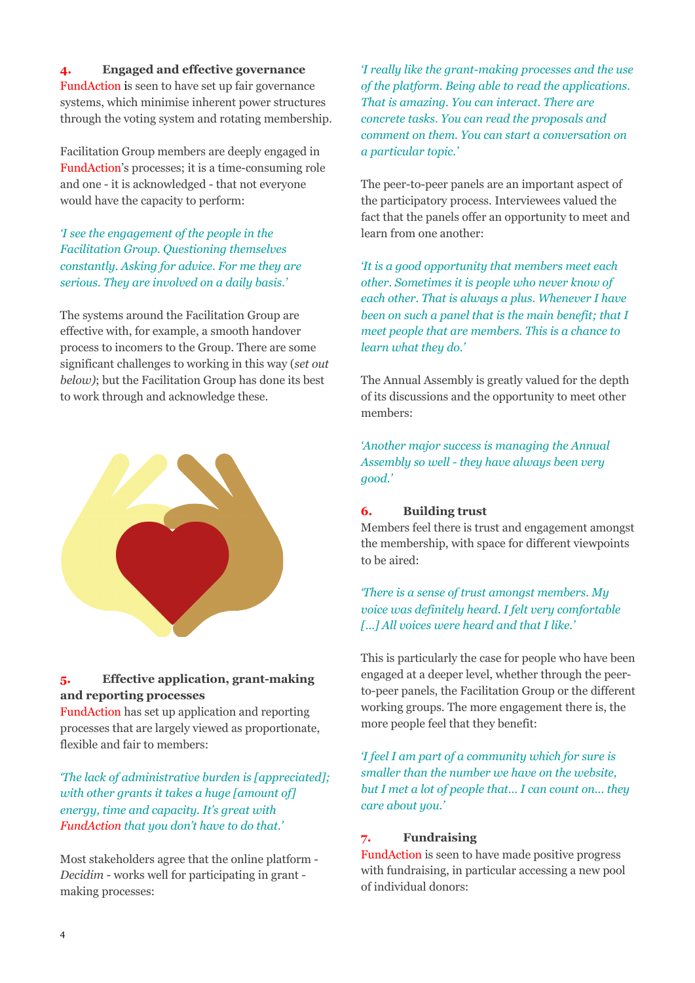# **4. Engaged and effective governance**

FundAction is seen to have set up fair governance systems, which minimise inherent power structures through the voting system and rotating membership.

Facilitation Group members are deeply engaged in FundAction's processes; it is a time-consuming role and one - it is acknowledged - that not everyone would have the capacity to perform:

# *'I see the engagement of the people in the Facilitation Group. Questioning themselves constantly. Asking for advice. For me they are serious. They are involved on a daily basis.'*

The systems around the Facilitation Group are effective with, for example, a smooth handover process to incomers to the Group. There are some significant challenges to working in this way (*set out below)*; but the Facilitation Group has done its best to work through and acknowledge these.



# **5. Effective application, grant-making and reporting processes**

FundAction has set up application and reporting processes that are largely viewed as proportionate, flexible and fair to members:

*'The lack of administrative burden is [appreciated]; with other grants it takes a huge [amount of] energy, time and capacity. It's great with FundAction that you don't have to do that.'*

Most stakeholders agree that the online platform - *Decidim* - works well for participating in grant making processes:

*'I really like the grant-making processes and the use of the platform. Being able to read the applications. That is amazing. You can interact. There are concrete tasks. You can read the proposals and comment on them. You can start a conversation on a particular topic.'*

The peer-to-peer panels are an important aspect of the participatory process. Interviewees valued the fact that the panels offer an opportunity to meet and learn from one another:

*'It is a good opportunity that members meet each other. Sometimes it is people who never know of each other. That is always a plus. Whenever I have been on such a panel that is the main benefit; that I meet people that are members. This is a chance to learn what they do.'*

The Annual Assembly is greatly valued for the depth of its discussions and the opportunity to meet other members:

*'Another major success is managing the Annual Assembly so well - they have always been very good.'* 

# **6. Building trust**

Members feel there is trust and engagement amongst the membership, with space for different viewpoints to be aired:

# *'There is a sense of trust amongst members. My voice was definitely heard. I felt very comfortable […] All voices were heard and that I like.'*

This is particularly the case for people who have been engaged at a deeper level, whether through the peerto-peer panels, the Facilitation Group or the different working groups. The more engagement there is, the more people feel that they benefit:

*'I feel I am part of a community which for sure is smaller than the number we have on the website, but I met a lot of people that… I can count on... they care about you.'*

# **7. Fundraising**

FundAction is seen to have made positive progress with fundraising, in particular accessing a new pool of individual donors: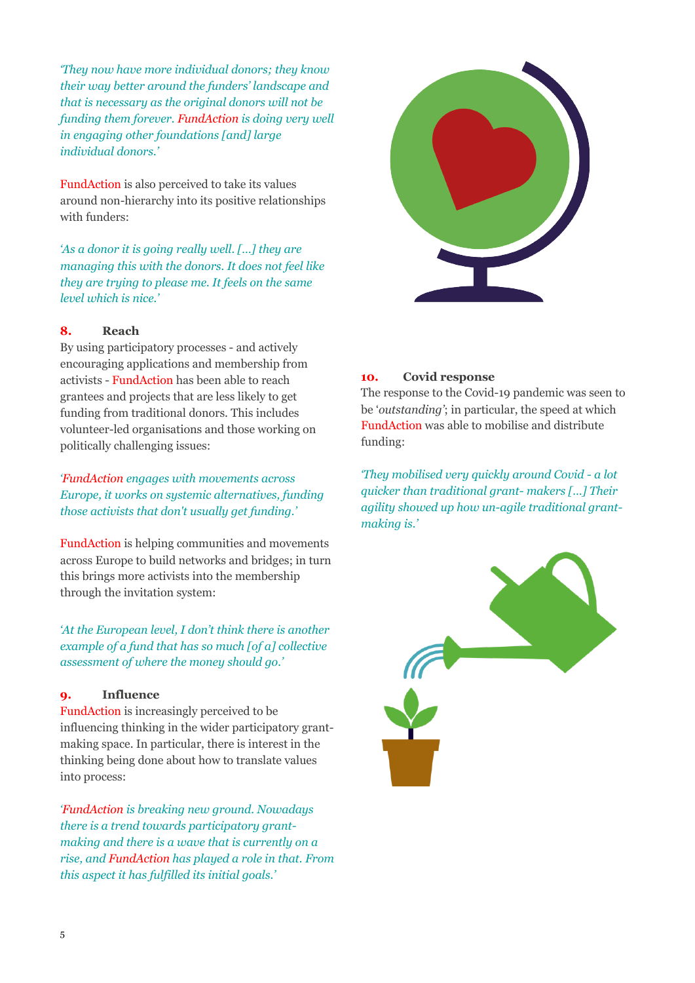*'They now have more individual donors; they know their way better around the funders' landscape and that is necessary as the original donors will not be funding them forever. FundAction is doing very well in engaging other foundations [and] large individual donors.'*

FundAction is also perceived to take its values around non-hierarchy into its positive relationships with funders:

*'As a donor it is going really well. […] they are managing this with the donors. It does not feel like they are trying to please me. It feels on the same level which is nice.'* 

# **8. Reach**

By using participatory processes - and actively encouraging applications and membership from activists - FundAction has been able to reach grantees and projects that are less likely to get funding from traditional donors. This includes volunteer-led organisations and those working on politically challenging issues:

*'FundAction engages with movements across Europe, it works on systemic alternatives, funding those activists that don't usually get funding.'* 

FundAction is helping communities and movements across Europe to build networks and bridges; in turn this brings more activists into the membership through the invitation system:

*'At the European level, I don't think there is another example of a fund that has so much [of a] collective assessment of where the money should go.'*

# **9. Influence**

FundAction is increasingly perceived to be influencing thinking in the wider participatory grantmaking space. In particular, there is interest in the thinking being done about how to translate values into process:

*'FundAction is breaking new ground. Nowadays there is a trend towards participatory grantmaking and there is a wave that is currently on a rise, and FundAction has played a role in that. From this aspect it has fulfilled its initial goals.'*



The response to the Covid-19 pandemic was seen to be '*outstanding'*; in particular, the speed at which FundAction was able to mobilise and distribute funding:

*'They mobilised very quickly around Covid - a lot quicker than traditional grant- makers […] Their agility showed up how un-agile traditional grantmaking is.'* 

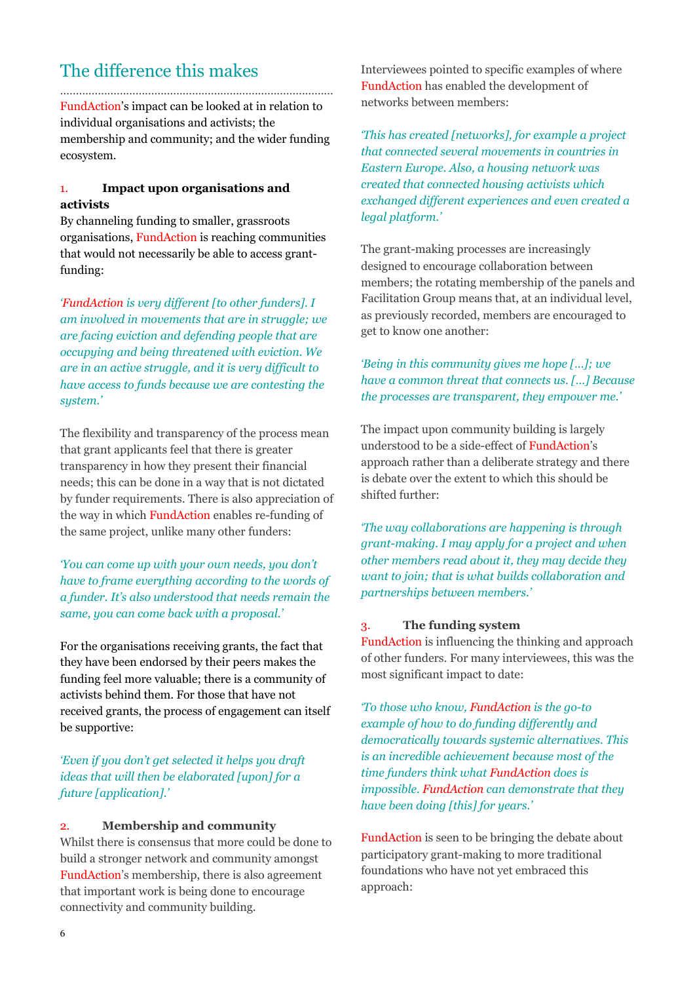# The difference this makes

…………………………………………………………………………… FundAction's impact can be looked at in relation to individual organisations and activists; the membership and community; and the wider funding ecosystem.

# 1. **Impact upon organisations and activists**

By channeling funding to smaller, grassroots organisations, FundAction is reaching communities that would not necessarily be able to access grantfunding:

*'FundAction is very different [to other funders]. I am involved in movements that are in struggle; we are facing eviction and defending people that are occupying and being threatened with eviction. We are in an active struggle, and it is very difficult to have access to funds because we are contesting the system.'*

The flexibility and transparency of the process mean that grant applicants feel that there is greater transparency in how they present their financial needs; this can be done in a way that is not dictated by funder requirements. There is also appreciation of the way in which FundAction enables re-funding of the same project, unlike many other funders:

*'You can come up with your own needs, you don't have to frame everything according to the words of a funder. It's also understood that needs remain the same, you can come back with a proposal.'*

For the organisations receiving grants, the fact that they have been endorsed by their peers makes the funding feel more valuable; there is a community of activists behind them. For those that have not received grants, the process of engagement can itself be supportive:

*'Even if you don't get selected it helps you draft ideas that will then be elaborated [upon] for a future [application].'* 

# 2. **Membership and community**

Whilst there is consensus that more could be done to build a stronger network and community amongst FundAction's membership, there is also agreement that important work is being done to encourage connectivity and community building.

Interviewees pointed to specific examples of where FundAction has enabled the development of networks between members:

*'This has created [networks], for example a project that connected several movements in countries in Eastern Europe. Also, a housing network was created that connected housing activists which exchanged different experiences and even created a legal platform.'* 

The grant-making processes are increasingly designed to encourage collaboration between members; the rotating membership of the panels and Facilitation Group means that, at an individual level, as previously recorded, members are encouraged to get to know one another:

# *'Being in this community gives me hope […]; we have a common threat that connects us. […] Because the processes are transparent, they empower me.'*

The impact upon community building is largely understood to be a side-effect of FundAction's approach rather than a deliberate strategy and there is debate over the extent to which this should be shifted further:

*'The way collaborations are happening is through grant-making. I may apply for a project and when other members read about it, they may decide they want to join; that is what builds collaboration and partnerships between members.'* 

# 3. **The funding system**

FundAction is influencing the thinking and approach of other funders. For many interviewees, this was the most significant impact to date:

*'To those who know, FundAction is the go-to example of how to do funding differently and democratically towards systemic alternatives. This is an incredible achievement because most of the time funders think what FundAction does is impossible. FundAction can demonstrate that they have been doing [this] for years.'*

FundAction is seen to be bringing the debate about participatory grant-making to more traditional foundations who have not yet embraced this approach: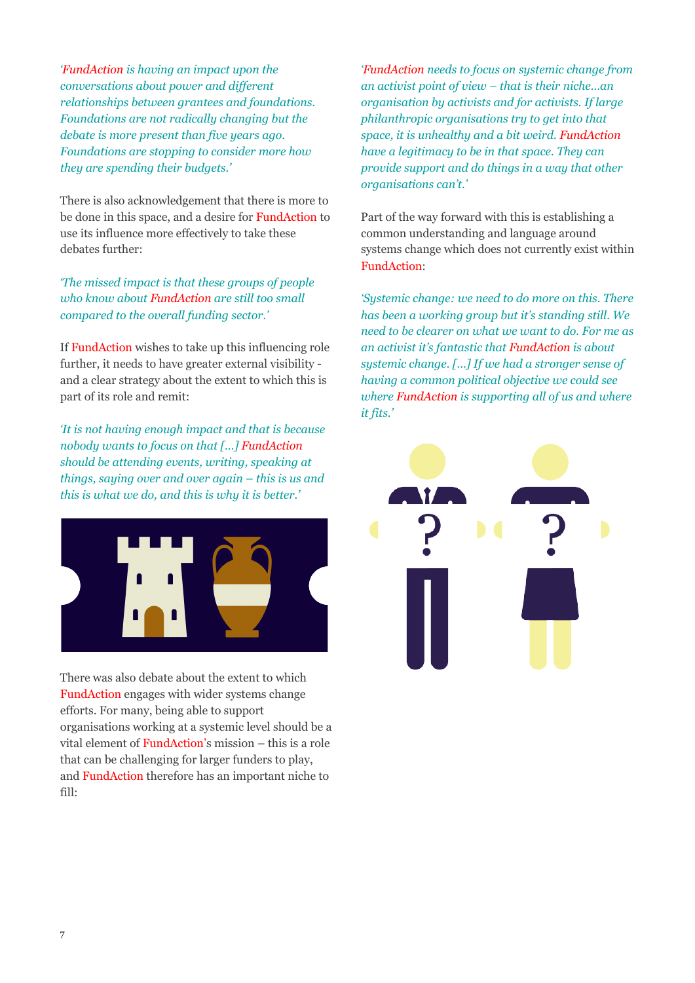*'FundAction is having an impact upon the conversations about power and different relationships between grantees and foundations. Foundations are not radically changing but the debate is more present than five years ago. Foundations are stopping to consider more how they are spending their budgets.'* 

There is also acknowledgement that there is more to be done in this space, and a desire for FundAction to use its influence more effectively to take these debates further:

*'The missed impact is that these groups of people who know about FundAction are still too small compared to the overall funding sector.'*

If FundAction wishes to take up this influencing role further, it needs to have greater external visibility and a clear strategy about the extent to which this is part of its role and remit:

*'It is not having enough impact and that is because nobody wants to focus on that […] FundAction should be attending events, writing, speaking at things, saying over and over again – this is us and this is what we do, and this is why it is better.'*



There was also debate about the extent to which FundAction engages with wider systems change efforts. For many, being able to support organisations working at a systemic level should be a vital element of FundAction's mission – this is a role that can be challenging for larger funders to play, and FundAction therefore has an important niche to fill:

*'FundAction needs to focus on systemic change from an activist point of view – that is their niche…an organisation by activists and for activists. If large philanthropic organisations try to get into that space, it is unhealthy and a bit weird. FundAction have a legitimacy to be in that space. They can provide support and do things in a way that other organisations can't.'* 

Part of the way forward with this is establishing a common understanding and language around systems change which does not currently exist within FundAction:

*'Systemic change: we need to do more on this. There has been a working group but it's standing still. We need to be clearer on what we want to do. For me as an activist it's fantastic that FundAction is about systemic change. […] If we had a stronger sense of having a common political objective we could see where FundAction is supporting all of us and where it fits.'*

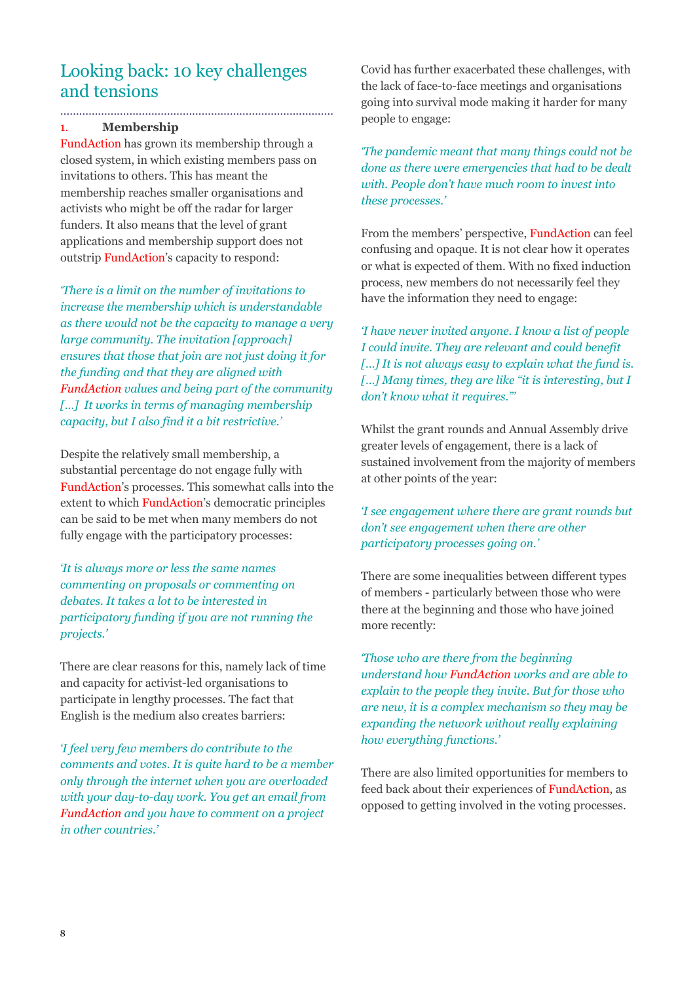# Looking back: 10 key challenges and tensions

# 1. **Membership**

…………………………………………………………………...………

FundAction has grown its membership through a closed system, in which existing members pass on invitations to others. This has meant the membership reaches smaller organisations and activists who might be off the radar for larger funders. It also means that the level of grant applications and membership support does not outstrip FundAction's capacity to respond:

*'There is a limit on the number of invitations to increase the membership which is understandable as there would not be the capacity to manage a very large community. The invitation [approach] ensures that those that join are not just doing it for the funding and that they are aligned with FundAction values and being part of the community […] It works in terms of managing membership capacity, but I also find it a bit restrictive.'*

Despite the relatively small membership, a substantial percentage do not engage fully with FundAction's processes. This somewhat calls into the extent to which FundAction's democratic principles can be said to be met when many members do not fully engage with the participatory processes:

*'It is always more or less the same names commenting on proposals or commenting on debates. It takes a lot to be interested in participatory funding if you are not running the projects.'*

There are clear reasons for this, namely lack of time and capacity for activist-led organisations to participate in lengthy processes. The fact that English is the medium also creates barriers:

*'I feel very few members do contribute to the comments and votes. It is quite hard to be a member only through the internet when you are overloaded with your day-to-day work. You get an email from FundAction and you have to comment on a project in other countries.'*

Covid has further exacerbated these challenges, with the lack of face-to-face meetings and organisations going into survival mode making it harder for many people to engage:

*'The pandemic meant that many things could not be done as there were emergencies that had to be dealt with. People don't have much room to invest into these processes.'* 

From the members' perspective, FundAction can feel confusing and opaque. It is not clear how it operates or what is expected of them. With no fixed induction process, new members do not necessarily feel they have the information they need to engage:

*'I have never invited anyone. I know a list of people I could invite. They are relevant and could benefit […] It is not always easy to explain what the fund is. […] Many times, they are like "it is interesting, but I don't know what it requires."'* 

Whilst the grant rounds and Annual Assembly drive greater levels of engagement, there is a lack of sustained involvement from the majority of members at other points of the year:

# *'I see engagement where there are grant rounds but don't see engagement when there are other participatory processes going on.'*

There are some inequalities between different types of members - particularly between those who were there at the beginning and those who have joined more recently:

*'Those who are there from the beginning understand how FundAction works and are able to explain to the people they invite. But for those who are new, it is a complex mechanism so they may be expanding the network without really explaining how everything functions.'* 

There are also limited opportunities for members to feed back about their experiences of FundAction, as opposed to getting involved in the voting processes.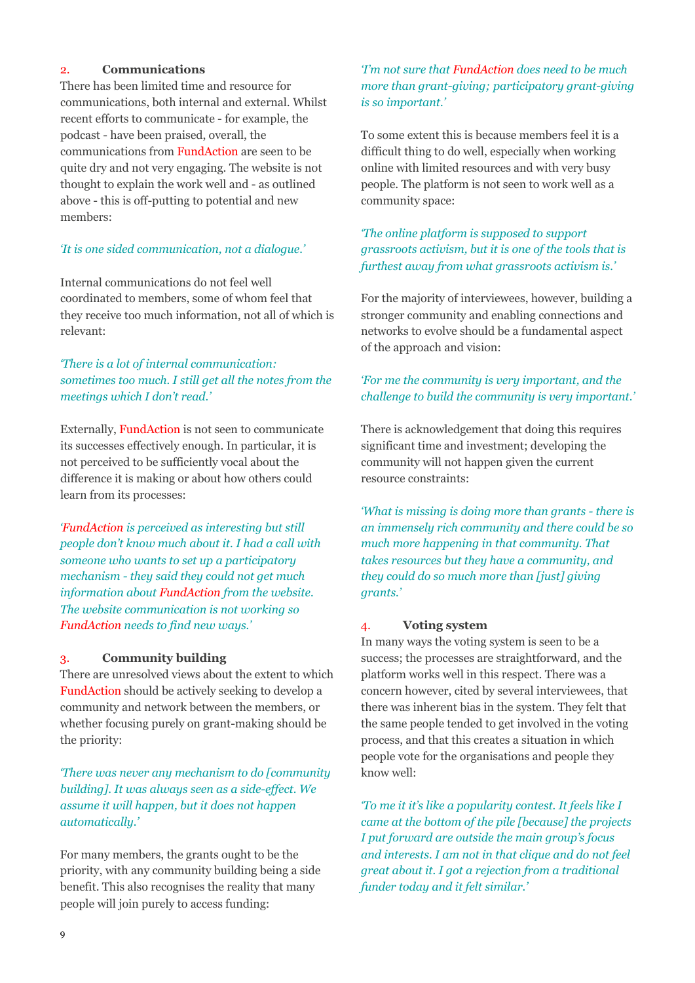# 2. **Communications**

There has been limited time and resource for communications, both internal and external. Whilst recent efforts to communicate - for example, the podcast - have been praised, overall, the communications from FundAction are seen to be quite dry and not very engaging. The website is not thought to explain the work well and - as outlined above - this is off-putting to potential and new members:

# *'It is one sided communication, not a dialogue.'*

Internal communications do not feel well coordinated to members, some of whom feel that they receive too much information, not all of which is relevant:

# *'There is a lot of internal communication: sometimes too much. I still get all the notes from the meetings which I don't read.'*

Externally, FundAction is not seen to communicate its successes effectively enough. In particular, it is not perceived to be sufficiently vocal about the difference it is making or about how others could learn from its processes:

*'FundAction is perceived as interesting but still people don't know much about it. I had a call with someone who wants to set up a participatory mechanism - they said they could not get much information about FundAction from the website. The website communication is not working so FundAction needs to find new ways.'* 

#### 3. **Community building**

There are unresolved views about the extent to which FundAction should be actively seeking to develop a community and network between the members, or whether focusing purely on grant-making should be the priority:

*'There was never any mechanism to do [community building]. It was always seen as a side-effect. We assume it will happen, but it does not happen automatically.'* 

For many members, the grants ought to be the priority, with any community building being a side benefit. This also recognises the reality that many people will join purely to access funding:

# *'I'm not sure that FundAction does need to be much more than grant-giving; participatory grant-giving is so important.'*

To some extent this is because members feel it is a difficult thing to do well, especially when working online with limited resources and with very busy people. The platform is not seen to work well as a community space:

# *'The online platform is supposed to support grassroots activism, but it is one of the tools that is furthest away from what grassroots activism is.'*

For the majority of interviewees, however, building a stronger community and enabling connections and networks to evolve should be a fundamental aspect of the approach and vision:

# *'For me the community is very important, and the challenge to build the community is very important.'*

There is acknowledgement that doing this requires significant time and investment; developing the community will not happen given the current resource constraints:

*'What is missing is doing more than grants - there is an immensely rich community and there could be so much more happening in that community. That takes resources but they have a community, and they could do so much more than [just] giving grants.'*

#### 4. **Voting system**

In many ways the voting system is seen to be a success; the processes are straightforward, and the platform works well in this respect. There was a concern however, cited by several interviewees, that there was inherent bias in the system. They felt that the same people tended to get involved in the voting process, and that this creates a situation in which people vote for the organisations and people they know well:

*'To me it it's like a popularity contest. It feels like I came at the bottom of the pile [because] the projects I put forward are outside the main group's focus and interests. I am not in that clique and do not feel great about it. I got a rejection from a traditional funder today and it felt similar.'*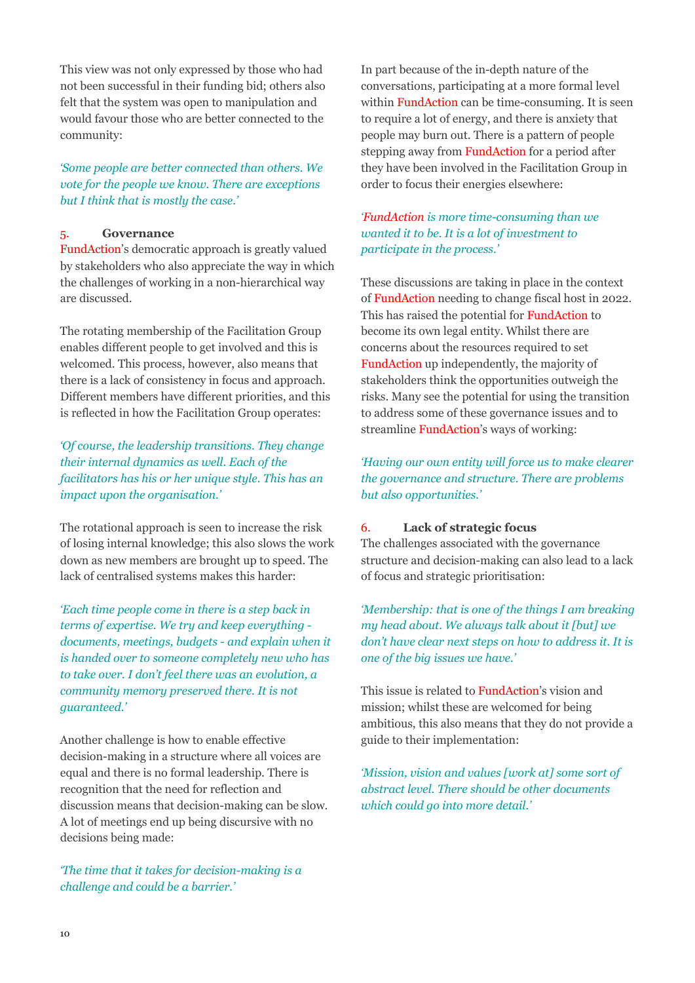This view was not only expressed by those who had not been successful in their funding bid; others also felt that the system was open to manipulation and would favour those who are better connected to the community:

# *'Some people are better connected than others. We vote for the people we know. There are exceptions but I think that is mostly the case.'*

# 5. **Governance**

FundAction's democratic approach is greatly valued by stakeholders who also appreciate the way in which the challenges of working in a non-hierarchical way are discussed.

The rotating membership of the Facilitation Group enables different people to get involved and this is welcomed. This process, however, also means that there is a lack of consistency in focus and approach. Different members have different priorities, and this is reflected in how the Facilitation Group operates:

*'Of course, the leadership transitions. They change their internal dynamics as well. Each of the facilitators has his or her unique style. This has an impact upon the organisation.'*

The rotational approach is seen to increase the risk of losing internal knowledge; this also slows the work down as new members are brought up to speed. The lack of centralised systems makes this harder:

*'Each time people come in there is a step back in terms of expertise. We try and keep everything documents, meetings, budgets - and explain when it is handed over to someone completely new who has to take over. I don't feel there was an evolution, a community memory preserved there. It is not guaranteed.'* 

Another challenge is how to enable effective decision-making in a structure where all voices are equal and there is no formal leadership. There is recognition that the need for reflection and discussion means that decision-making can be slow. A lot of meetings end up being discursive with no decisions being made:

*'The time that it takes for decision-making is a challenge and could be a barrier.'*

In part because of the in-depth nature of the conversations, participating at a more formal level within FundAction can be time-consuming. It is seen to require a lot of energy, and there is anxiety that people may burn out. There is a pattern of people stepping away from FundAction for a period after they have been involved in the Facilitation Group in order to focus their energies elsewhere:

# *'FundAction is more time-consuming than we wanted it to be. It is a lot of investment to participate in the process.'*

These discussions are taking in place in the context of FundAction needing to change fiscal host in 2022. This has raised the potential for FundAction to become its own legal entity. Whilst there are concerns about the resources required to set FundAction up independently, the majority of stakeholders think the opportunities outweigh the risks. Many see the potential for using the transition to address some of these governance issues and to streamline FundAction's ways of working:

*'Having our own entity will force us to make clearer the governance and structure. There are problems but also opportunities.'* 

# 6. **Lack of strategic focus**

The challenges associated with the governance structure and decision-making can also lead to a lack of focus and strategic prioritisation:

*'Membership: that is one of the things I am breaking my head about. We always talk about it [but] we don't have clear next steps on how to address it. It is one of the big issues we have.'* 

This issue is related to FundAction's vision and mission; whilst these are welcomed for being ambitious, this also means that they do not provide a guide to their implementation:

*'Mission, vision and values [work at] some sort of abstract level. There should be other documents which could go into more detail.'*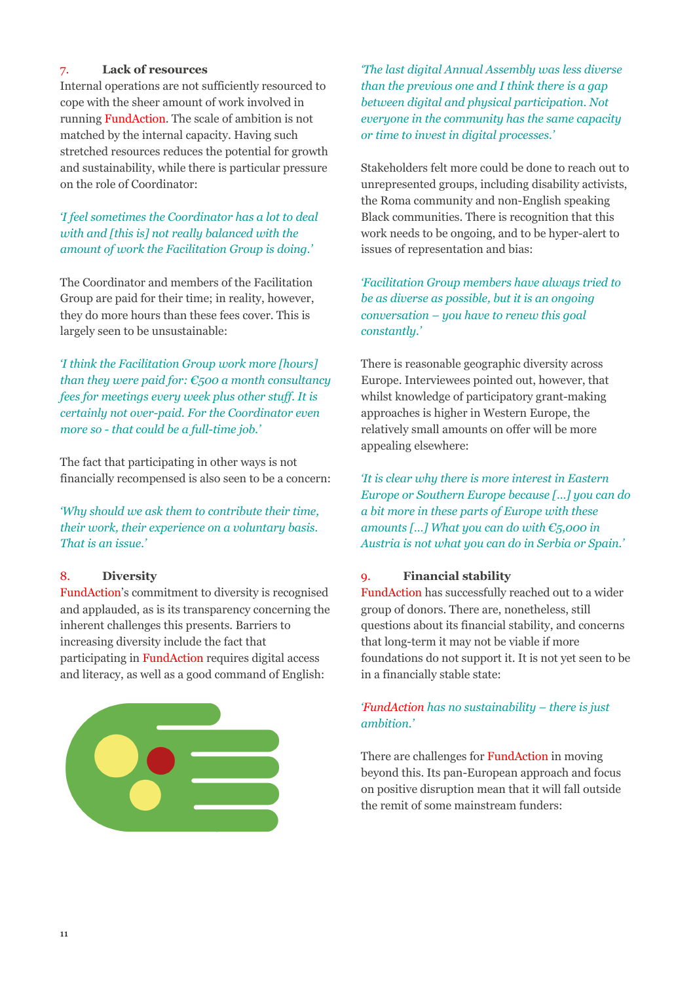# 7. **Lack of resources**

Internal operations are not sufficiently resourced to cope with the sheer amount of work involved in running FundAction. The scale of ambition is not matched by the internal capacity. Having such stretched resources reduces the potential for growth and sustainability, while there is particular pressure on the role of Coordinator:

# *'I feel sometimes the Coordinator has a lot to deal with and [this is] not really balanced with the amount of work the Facilitation Group is doing.'*

The Coordinator and members of the Facilitation Group are paid for their time; in reality, however, they do more hours than these fees cover. This is largely seen to be unsustainable:

*'I think the Facilitation Group work more [hours] than they were paid for: €500 a month consultancy fees for meetings every week plus other stuff. It is certainly not over-paid. For the Coordinator even more so - that could be a full-time job.'* 

The fact that participating in other ways is not financially recompensed is also seen to be a concern:

*'Why should we ask them to contribute their time, their work, their experience on a voluntary basis. That is an issue.'*

# 8. **Diversity**

FundAction's commitment to diversity is recognised and applauded, as is its transparency concerning the inherent challenges this presents. Barriers to increasing diversity include the fact that participating in FundAction requires digital access and literacy, as well as a good command of English:



*'The last digital Annual Assembly was less diverse than the previous one and I think there is a gap between digital and physical participation. Not everyone in the community has the same capacity or time to invest in digital processes.'*

Stakeholders felt more could be done to reach out to unrepresented groups, including disability activists, the Roma community and non-English speaking Black communities. There is recognition that this work needs to be ongoing, and to be hyper-alert to issues of representation and bias:

*'Facilitation Group members have always tried to be as diverse as possible, but it is an ongoing conversation – you have to renew this goal constantly.'* 

There is reasonable geographic diversity across Europe. Interviewees pointed out, however, that whilst knowledge of participatory grant-making approaches is higher in Western Europe, the relatively small amounts on offer will be more appealing elsewhere:

*'It is clear why there is more interest in Eastern Europe or Southern Europe because […] you can do a bit more in these parts of Europe with these amounts […] What you can do with €5,000 in Austria is not what you can do in Serbia or Spain.'* 

# 9. **Financial stability**

FundAction has successfully reached out to a wider group of donors. There are, nonetheless, still questions about its financial stability, and concerns that long-term it may not be viable if more foundations do not support it. It is not yet seen to be in a financially stable state:

# *'FundAction has no sustainability – there is just ambition.'*

There are challenges for FundAction in moving beyond this. Its pan-European approach and focus on positive disruption mean that it will fall outside the remit of some mainstream funders: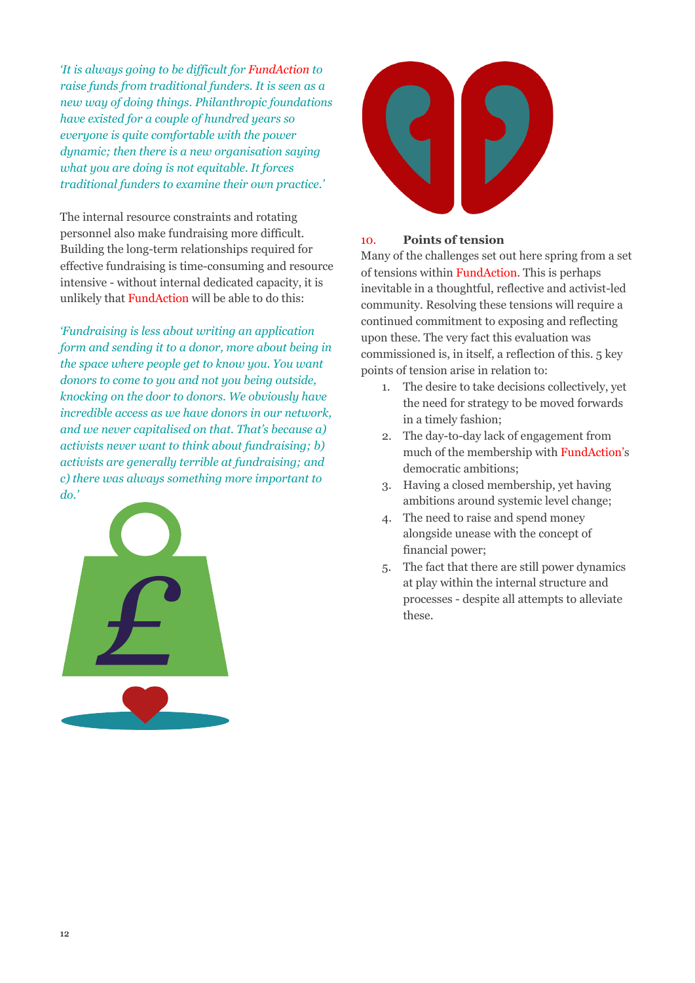*'It is always going to be difficult for FundAction to raise funds from traditional funders. It is seen as a new way of doing things. Philanthropic foundations have existed for a couple of hundred years so everyone is quite comfortable with the power dynamic; then there is a new organisation saying what you are doing is not equitable. It forces traditional funders to examine their own practice.'*

The internal resource constraints and rotating personnel also make fundraising more difficult. Building the long-term relationships required for effective fundraising is time-consuming and resource intensive - without internal dedicated capacity, it is unlikely that FundAction will be able to do this:

*'Fundraising is less about writing an application form and sending it to a donor, more about being in the space where people get to know you. You want donors to come to you and not you being outside, knocking on the door to donors. We obviously have incredible access as we have donors in our network, and we never capitalised on that. That's because a) activists never want to think about fundraising; b) activists are generally terrible at fundraising; and c) there was always something more important to do.'* 





# 10. **Points of tension**

Many of the challenges set out here spring from a set of tensions within FundAction. This is perhaps inevitable in a thoughtful, reflective and activist-led community. Resolving these tensions will require a continued commitment to exposing and reflecting upon these. The very fact this evaluation was commissioned is, in itself, a reflection of this. 5 key points of tension arise in relation to:

- 1. The desire to take decisions collectively, yet the need for strategy to be moved forwards in a timely fashion;
- 2. The day-to-day lack of engagement from much of the membership with FundAction's democratic ambitions;
- 3. Having a closed membership, yet having ambitions around systemic level change;
- 4. The need to raise and spend money alongside unease with the concept of financial power;
- 5. The fact that there are still power dynamics at play within the internal structure and processes - despite all attempts to alleviate these.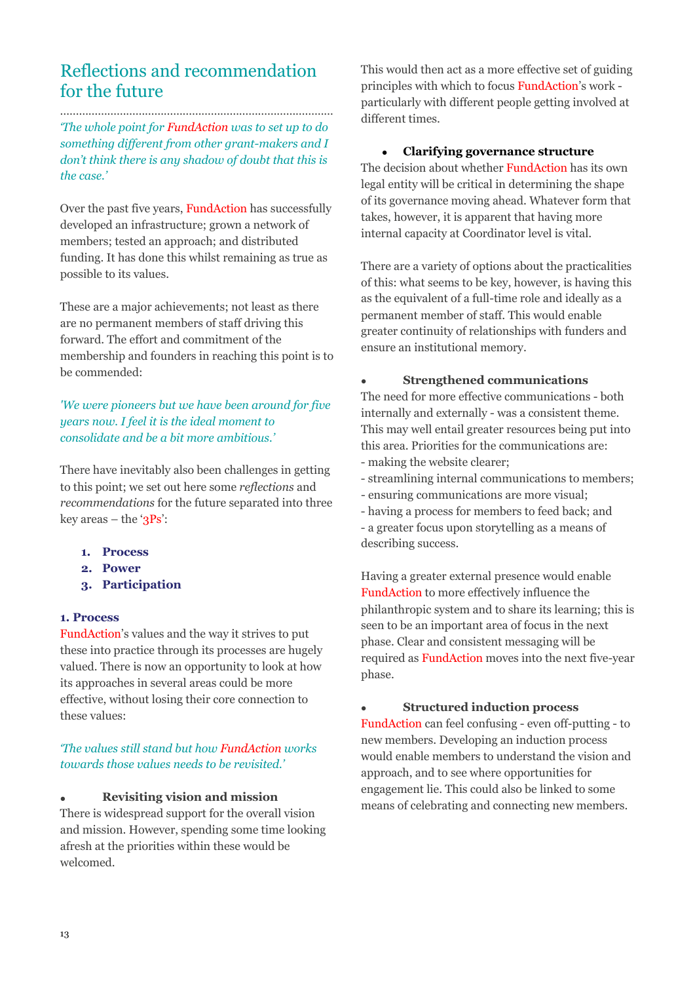# Reflections and recommendation for the future

…………………………………………………………………………… *'The whole point for FundAction was to set up to do something different from other grant-makers and I don't think there is any shadow of doubt that this is the case.'* 

Over the past five years, FundAction has successfully developed an infrastructure; grown a network of members; tested an approach; and distributed funding. It has done this whilst remaining as true as possible to its values.

These are a major achievements; not least as there are no permanent members of staff driving this forward. The effort and commitment of the membership and founders in reaching this point is to be commended:

# *'We were pioneers but we have been around for five years now. I feel it is the ideal moment to consolidate and be a bit more ambitious.'*

There have inevitably also been challenges in getting to this point; we set out here some *reflections* and *recommendations* for the future separated into three key areas – the ' $3Ps$ ':

- **1. Process**
- **2. Power**
- **3. Participation**

# **1. Process**

FundAction's values and the way it strives to put these into practice through its processes are hugely valued. There is now an opportunity to look at how its approaches in several areas could be more effective, without losing their core connection to these values:

# *'The values still stand but how FundAction works towards those values needs to be revisited.'*

# • **Revisiting vision and mission**

There is widespread support for the overall vision and mission. However, spending some time looking afresh at the priorities within these would be welcomed.

This would then act as a more effective set of guiding principles with which to focus FundAction's work particularly with different people getting involved at different times.

#### • **Clarifying governance structure**

The decision about whether FundAction has its own legal entity will be critical in determining the shape of its governance moving ahead. Whatever form that takes, however, it is apparent that having more internal capacity at Coordinator level is vital.

There are a variety of options about the practicalities of this: what seems to be key, however, is having this as the equivalent of a full-time role and ideally as a permanent member of staff. This would enable greater continuity of relationships with funders and ensure an institutional memory.

#### • **Strengthened communications**

The need for more effective communications - both internally and externally - was a consistent theme. This may well entail greater resources being put into this area. Priorities for the communications are:

- making the website clearer;
- streamlining internal communications to members;
- ensuring communications are more visual;
- having a process for members to feed back; and
- a greater focus upon storytelling as a means of describing success.

Having a greater external presence would enable FundAction to more effectively influence the philanthropic system and to share its learning; this is seen to be an important area of focus in the next phase. Clear and consistent messaging will be required as FundAction moves into the next five-year phase.

#### • **Structured induction process**

FundAction can feel confusing - even off-putting - to new members. Developing an induction process would enable members to understand the vision and approach, and to see where opportunities for engagement lie. This could also be linked to some means of celebrating and connecting new members.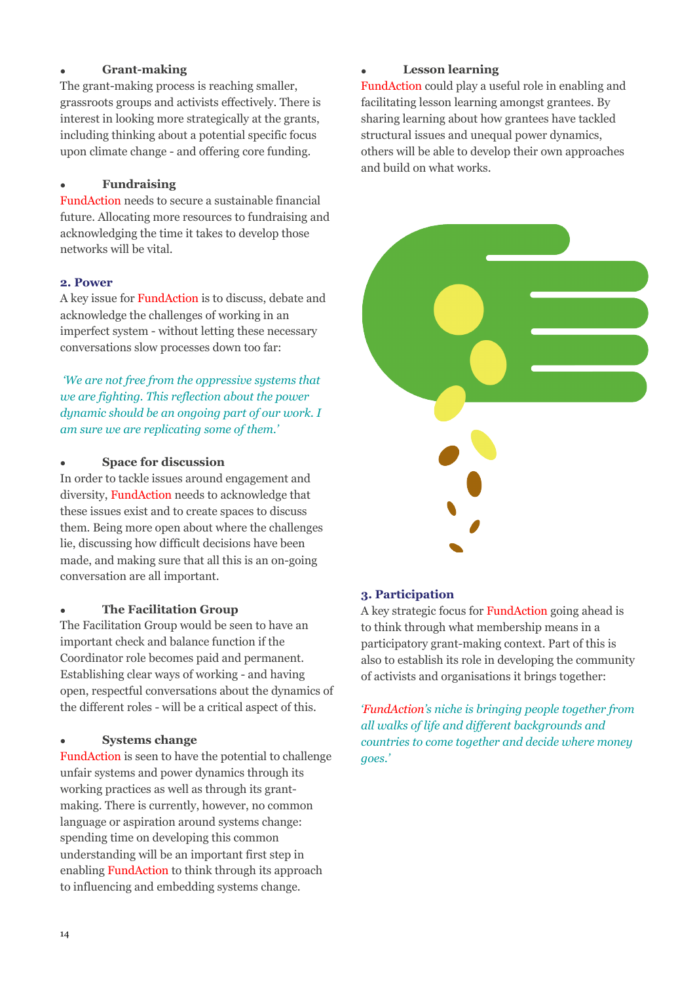# • **Grant-making**

The grant-making process is reaching smaller, grassroots groups and activists effectively. There is interest in looking more strategically at the grants, including thinking about a potential specific focus upon climate change - and offering core funding.

# • **Fundraising**

FundAction needs to secure a sustainable financial future. Allocating more resources to fundraising and acknowledging the time it takes to develop those networks will be vital.

# **2. Power**

A key issue for FundAction is to discuss, debate and acknowledge the challenges of working in an imperfect system - without letting these necessary conversations slow processes down too far:

*'We are not free from the oppressive systems that we are fighting. This reflection about the power dynamic should be an ongoing part of our work. I am sure we are replicating some of them.'*

# • **Space for discussion**

In order to tackle issues around engagement and diversity, FundAction needs to acknowledge that these issues exist and to create spaces to discuss them. Being more open about where the challenges lie, discussing how difficult decisions have been made, and making sure that all this is an on-going conversation are all important.

# • **The Facilitation Group**

The Facilitation Group would be seen to have an important check and balance function if the Coordinator role becomes paid and permanent. Establishing clear ways of working - and having open, respectful conversations about the dynamics of the different roles - will be a critical aspect of this.

# • **Systems change**

FundAction is seen to have the potential to challenge unfair systems and power dynamics through its working practices as well as through its grantmaking. There is currently, however, no common language or aspiration around systems change: spending time on developing this common understanding will be an important first step in enabling FundAction to think through its approach to influencing and embedding systems change.

# • **Lesson learning**

FundAction could play a useful role in enabling and facilitating lesson learning amongst grantees. By sharing learning about how grantees have tackled structural issues and unequal power dynamics, others will be able to develop their own approaches and build on what works.



# **3. Participation**

A key strategic focus for FundAction going ahead is to think through what membership means in a participatory grant-making context. Part of this is also to establish its role in developing the community of activists and organisations it brings together:

*'FundAction's niche is bringing people together from all walks of life and different backgrounds and countries to come together and decide where money goes.'*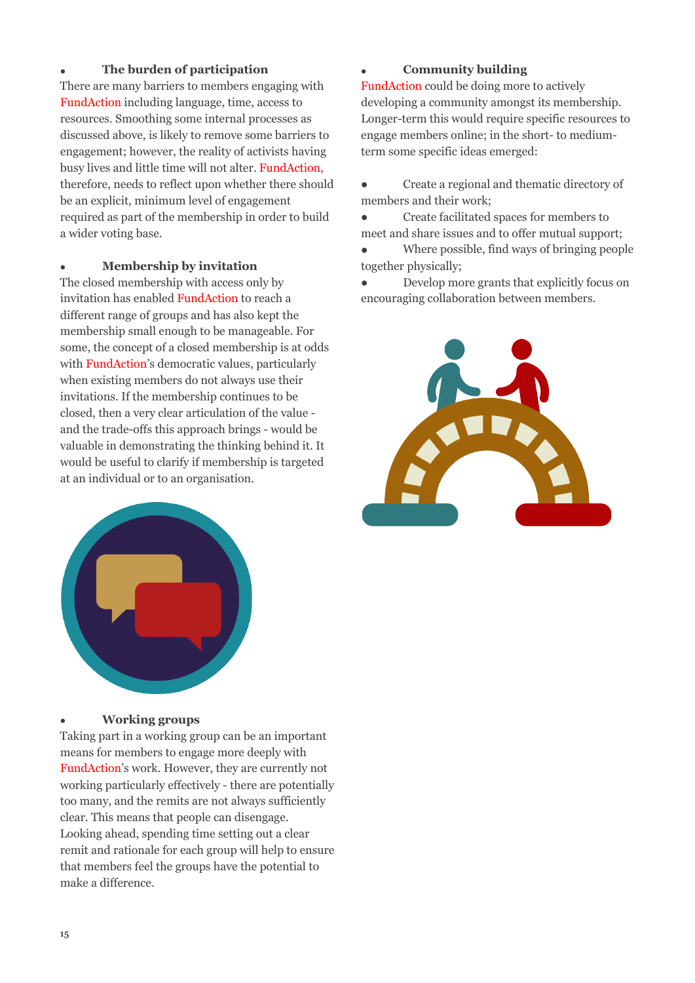# • **The burden of participation**

There are many barriers to members engaging with FundAction including language, time, access to resources. Smoothing some internal processes as discussed above, is likely to remove some barriers to engagement; however, the reality of activists having busy lives and little time will not alter. FundAction, therefore, needs to reflect upon whether there should be an explicit, minimum level of engagement required as part of the membership in order to build a wider voting base.

# • **Membership by invitation**

The closed membership with access only by invitation has enabled FundAction to reach a different range of groups and has also kept the membership small enough to be manageable. For some, the concept of a closed membership is at odds with FundAction's democratic values, particularly when existing members do not always use their invitations. If the membership continues to be closed, then a very clear articulation of the value and the trade-offs this approach brings - would be valuable in demonstrating the thinking behind it. It would be useful to clarify if membership is targeted at an individual or to an organisation.



# • **Working groups**

Taking part in a working group can be an important means for members to engage more deeply with FundAction's work. However, they are currently not working particularly effectively - there are potentially too many, and the remits are not always sufficiently clear. This means that people can disengage. Looking ahead, spending time setting out a clear remit and rationale for each group will help to ensure that members feel the groups have the potential to make a difference.

# • **Community building**

FundAction could be doing more to actively developing a community amongst its membership. Longer-term this would require specific resources to engage members online; in the short- to mediumterm some specific ideas emerged:

- Create a regional and thematic directory of members and their work;
- Create facilitated spaces for members to meet and share issues and to offer mutual support;
- Where possible, find ways of bringing people together physically;
- Develop more grants that explicitly focus on encouraging collaboration between members.